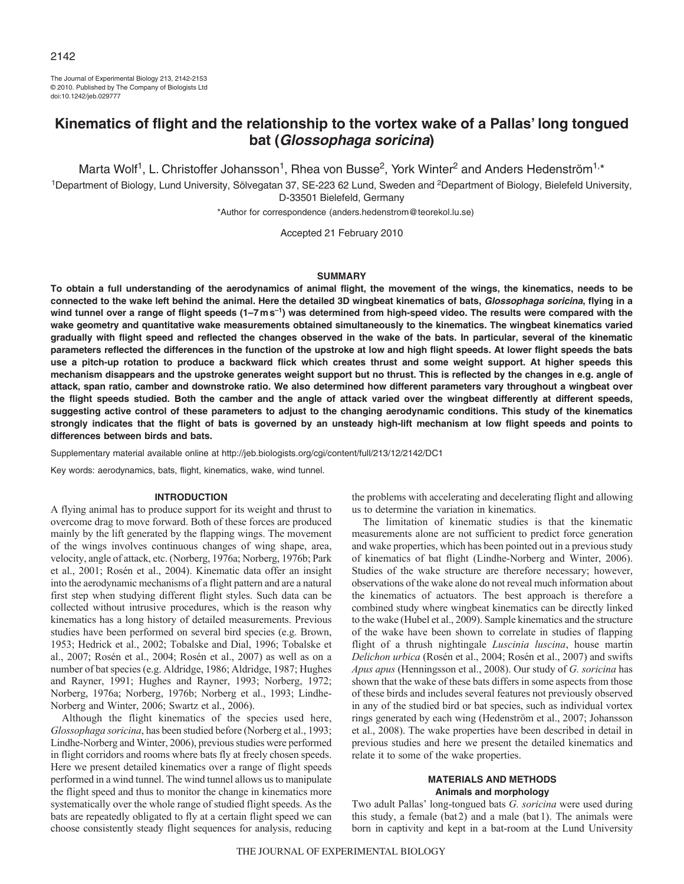The Journal of Experimental Biology 213, 2142-2153 © 2010. Published by The Company of Biologists Ltd doi:10.1242/jeb.029777

# **Kinematics of flight and the relationship to the vortex wake of a Pallas' long tongued bat (Glossophaga soricina)**

Marta Wolf<sup>1</sup>, L. Christoffer Johansson<sup>1</sup>, Rhea von Busse<sup>2</sup>, York Winter<sup>2</sup> and Anders Hedenström<sup>1,\*</sup>

<sup>1</sup>Department of Biology, Lund University, Sölvegatan 37, SE-223 62 Lund, Sweden and <sup>2</sup>Department of Biology, Bielefeld University, D-33501 Bielefeld, Germany

\*Author for correspondence (anders.hedenstrom@teorekol.lu.se)

Accepted 21 February 2010

## **SUMMARY**

**To obtain a full understanding of the aerodynamics of animal flight, the movement of the wings, the kinematics, needs to be connected to the wake left behind the animal. Here the detailed 3D wingbeat kinematics of bats, Glossophaga soricina, flying in a** wind tunnel over a range of flight speeds (1–7ms<sup>-1</sup>) was determined from high-speed video. The results were compared with the **wake geometry and quantitative wake measurements obtained simultaneously to the kinematics. The wingbeat kinematics varied gradually with flight speed and reflected the changes observed in the wake of the bats. In particular, several of the kinematic parameters reflected the differences in the function of the upstroke at low and high flight speeds. At lower flight speeds the bats use a pitch-up rotation to produce a backward flick which creates thrust and some weight support. At higher speeds this mechanism disappears and the upstroke generates weight support but no thrust. This is reflected by the changes in e.g. angle of attack, span ratio, camber and downstroke ratio. We also determined how different parameters vary throughout a wingbeat over the flight speeds studied. Both the camber and the angle of attack varied over the wingbeat differently at different speeds, suggesting active control of these parameters to adjust to the changing aerodynamic conditions. This study of the kinematics strongly indicates that the flight of bats is governed by an unsteady high-lift mechanism at low flight speeds and points to differences between birds and bats.**

Supplementary material available online at http://jeb.biologists.org/cgi/content/full/213/12/2142/DC1

Key words: aerodynamics, bats, flight, kinematics, wake, wind tunnel.

## **INTRODUCTION**

A flying animal has to produce support for its weight and thrust to overcome drag to move forward. Both of these forces are produced mainly by the lift generated by the flapping wings. The movement of the wings involves continuous changes of wing shape, area, velocity, angle of attack, etc. (Norberg, 1976a; Norberg, 1976b; Park et al., 2001; Rosén et al., 2004). Kinematic data offer an insight into the aerodynamic mechanisms of a flight pattern and are a natural first step when studying different flight styles. Such data can be collected without intrusive procedures, which is the reason why kinematics has a long history of detailed measurements. Previous studies have been performed on several bird species (e.g. Brown, 1953; Hedrick et al., 2002; Tobalske and Dial, 1996; Tobalske et al., 2007; Rosén et al., 2004; Rosén et al., 2007) as well as on a number of bat species (e.g. Aldridge, 1986; Aldridge, 1987; Hughes and Rayner, 1991; Hughes and Rayner, 1993; Norberg, 1972; Norberg, 1976a; Norberg, 1976b; Norberg et al., 1993; Lindhe-Norberg and Winter, 2006; Swartz et al., 2006).

Although the flight kinematics of the species used here, *Glossophaga soricina*, has been studied before (Norberg et al., 1993; Lindhe-Norberg and Winter, 2006), previous studies were performed in flight corridors and rooms where bats fly at freely chosen speeds. Here we present detailed kinematics over a range of flight speeds performed in a wind tunnel. The wind tunnel allows us to manipulate the flight speed and thus to monitor the change in kinematics more systematically over the whole range of studied flight speeds. As the bats are repeatedly obligated to fly at a certain flight speed we can choose consistently steady flight sequences for analysis, reducing the problems with accelerating and decelerating flight and allowing us to determine the variation in kinematics.

The limitation of kinematic studies is that the kinematic measurements alone are not sufficient to predict force generation and wake properties, which has been pointed out in a previous study of kinematics of bat flight (Lindhe-Norberg and Winter, 2006). Studies of the wake structure are therefore necessary; however, observations of the wake alone do not reveal much information about the kinematics of actuators. The best approach is therefore a combined study where wingbeat kinematics can be directly linked to the wake (Hubel et al., 2009). Sample kinematics and the structure of the wake have been shown to correlate in studies of flapping flight of a thrush nightingale *Luscinia luscina*, house martin *Delichon urbica* (Rosén et al., 2004; Rosén et al., 2007) and swifts *Apus apus* (Henningsson et al., 2008). Our study of *G. soricina* has shown that the wake of these bats differs in some aspects from those of these birds and includes several features not previously observed in any of the studied bird or bat species, such as individual vortex rings generated by each wing (Hedenström et al., 2007; Johansson et al., 2008). The wake properties have been described in detail in previous studies and here we present the detailed kinematics and relate it to some of the wake properties.

## **MATERIALS AND METHODS Animals and morphology**

Two adult Pallas' long-tongued bats *G. soricina* were used during this study, a female (bat2) and a male (bat1). The animals were born in captivity and kept in a bat-room at the Lund University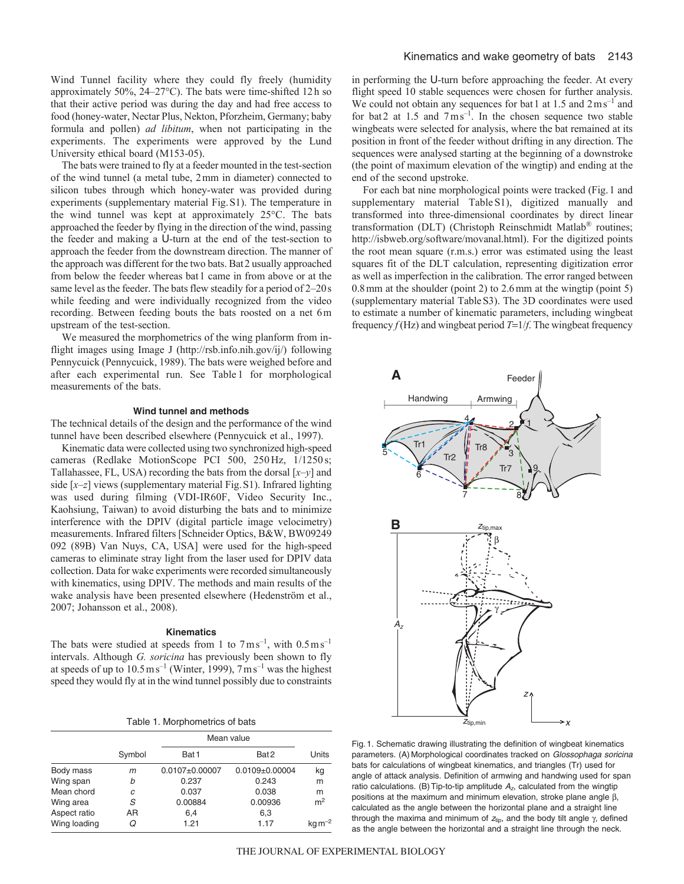Wind Tunnel facility where they could fly freely (humidity approximately 50%, 24–27°C). The bats were time-shifted 12h so that their active period was during the day and had free access to food (honey-water, Nectar Plus, Nekton, Pforzheim, Germany; baby formula and pollen) *ad libitum*, when not participating in the experiments. The experiments were approved by the Lund University ethical board (M153-05).

The bats were trained to fly at a feeder mounted in the test-section of the wind tunnel (a metal tube, 2mm in diameter) connected to silicon tubes through which honey-water was provided during experiments (supplementary material Fig.S1). The temperature in the wind tunnel was kept at approximately 25°C. The bats approached the feeder by flying in the direction of the wind, passing the feeder and making a U-turn at the end of the test-section to approach the feeder from the downstream direction. The manner of the approach was different for the two bats. Bat2 usually approached from below the feeder whereas bat1 came in from above or at the same level as the feeder. The bats flew steadily for a period of 2–20s while feeding and were individually recognized from the video recording. Between feeding bouts the bats roosted on a net 6m upstream of the test-section.

We measured the morphometrics of the wing planform from inflight images using Image J (http://rsb.info.nih.gov/ij/) following Pennycuick (Pennycuick, 1989). The bats were weighed before and after each experimental run. See Table 1 for morphological measurements of the bats.

## **Wind tunnel and methods**

The technical details of the design and the performance of the wind tunnel have been described elsewhere (Pennycuick et al., 1997).

Kinematic data were collected using two synchronized high-speed cameras (Redlake MotionScope PCI 500, 250Hz, 1/1250 s; Tallahassee, FL, USA) recording the bats from the dorsal [*x*–*y*] and side [*x*–*z*] views (supplementary material Fig.S1). Infrared lighting was used during filming (VDI-IR60F, Video Security Inc., Kaohsiung, Taiwan) to avoid disturbing the bats and to minimize interference with the DPIV (digital particle image velocimetry) measurements. Infrared filters [Schneider Optics, B&W, BW09249 092 (89B) Van Nuys, CA, USA] were used for the high-speed cameras to eliminate stray light from the laser used for DPIV data collection. Data for wake experiments were recorded simultaneously with kinematics, using DPIV. The methods and main results of the wake analysis have been presented elsewhere (Hedenström et al., 2007; Johansson et al., 2008).

## **Kinematics**

The bats were studied at speeds from 1 to  $7 \text{ m s}^{-1}$ , with  $0.5 \text{ m s}^{-1}$ intervals. Although *G. soricina* has previously been shown to fly at speeds of up to  $10.5 \text{ m s}^{-1}$  (Winter, 1999),  $7 \text{ m s}^{-1}$  was the highest speed they would fly at in the wind tunnel possibly due to constraints

Table 1. Morphometrics of bats

|              | Mean value |                      |                      |                  |
|--------------|------------|----------------------|----------------------|------------------|
|              | Symbol     | Bat 1                | Bat 2                | Units            |
| Body mass    | m          | $0.0107 \pm 0.00007$ | $0.0109 \pm 0.00004$ | kg               |
| Wing span    | b          | 0.237                | 0.243                | m                |
| Mean chord   | C          | 0.037                | 0.038                | m                |
| Wing area    | S          | 0.00884              | 0.00936              | m <sup>2</sup>   |
| Aspect ratio | AR         | 6,4                  | 6,3                  |                  |
| Wing loading | Q          | 1.21                 | 1.17                 | $\rm kg\,m^{-2}$ |

in performing the U-turn before approaching the feeder. At every flight speed 10 stable sequences were chosen for further analysis. We could not obtain any sequences for bat 1 at 1.5 and  $2 \text{ ms}^{-1}$  and for bat2 at  $1.5$  and  $7 \text{ ms}^{-1}$ . In the chosen sequence two stable wingbeats were selected for analysis, where the bat remained at its position in front of the feeder without drifting in any direction. The sequences were analysed starting at the beginning of a downstroke (the point of maximum elevation of the wingtip) and ending at the end of the second upstroke.

For each bat nine morphological points were tracked (Fig.1 and supplementary material Table S1), digitized manually and transformed into three-dimensional coordinates by direct linear transformation (DLT) (Christoph Reinschmidt Matlab® routines; http://isbweb.org/software/movanal.html). For the digitized points the root mean square (r.m.s.) error was estimated using the least squares fit of the DLT calculation, representing digitization error as well as imperfection in the calibration. The error ranged between 0.8mm at the shoulder (point 2) to 2.6mm at the wingtip (point 5) (supplementary material TableS3). The 3D coordinates were used to estimate a number of kinematic parameters, including wingbeat frequency  $f$ (Hz) and wingbeat period  $T=1/f$ . The wingbeat frequency



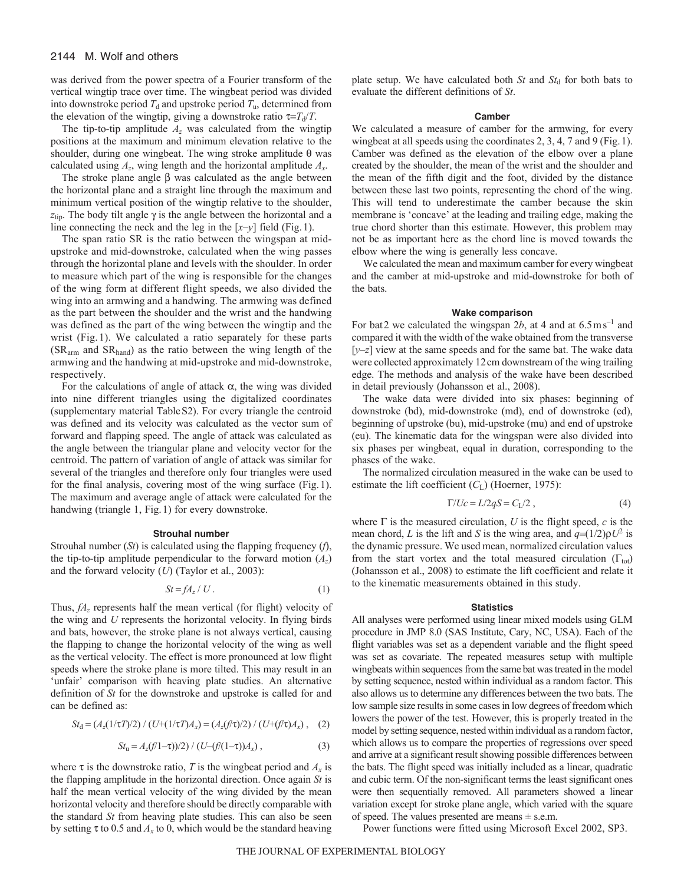## 2144 M. Wolf and others

was derived from the power spectra of a Fourier transform of the vertical wingtip trace over time. The wingbeat period was divided into downstroke period  $T_d$  and upstroke period  $T_u$ , determined from the elevation of the wingtip, giving a downstroke ratio  $\tau = T_d/T$ .

The tip-to-tip amplitude  $A_z$  was calculated from the wingtip positions at the maximum and minimum elevation relative to the shoulder, during one wingbeat. The wing stroke amplitude  $\theta$  was calculated using *Az*, wing length and the horizontal amplitude *Ax*.

The stroke plane angle  $\beta$  was calculated as the angle between the horizontal plane and a straight line through the maximum and minimum vertical position of the wingtip relative to the shoulder,  $z<sub>tip</sub>$ . The body tilt angle  $\gamma$  is the angle between the horizontal and a line connecting the neck and the leg in the [*x*–*y*] field (Fig.1).

The span ratio SR is the ratio between the wingspan at midupstroke and mid-downstroke, calculated when the wing passes through the horizontal plane and levels with the shoulder. In order to measure which part of the wing is responsible for the changes of the wing form at different flight speeds, we also divided the wing into an armwing and a handwing. The armwing was defined as the part between the shoulder and the wrist and the handwing was defined as the part of the wing between the wingtip and the wrist (Fig. 1). We calculated a ratio separately for these parts  $(SR<sub>arm</sub>$  and  $SR<sub>hand</sub>$ ) as the ratio between the wing length of the armwing and the handwing at mid-upstroke and mid-downstroke, respectively.

For the calculations of angle of attack  $\alpha$ , the wing was divided into nine different triangles using the digitalized coordinates (supplementary material TableS2). For every triangle the centroid was defined and its velocity was calculated as the vector sum of forward and flapping speed. The angle of attack was calculated as the angle between the triangular plane and velocity vector for the centroid. The pattern of variation of angle of attack was similar for several of the triangles and therefore only four triangles were used for the final analysis, covering most of the wing surface (Fig.1). The maximum and average angle of attack were calculated for the handwing (triangle 1, Fig. 1) for every downstroke.

#### **Strouhal number**

Strouhal number (*St*) is calculated using the flapping frequency (*f*), the tip-to-tip amplitude perpendicular to the forward motion  $(A<sub>z</sub>)$ and the forward velocity (*U*) (Taylor et al., 2003):

$$
St = fA_z / U. \tag{1}
$$

Thus, *fAz* represents half the mean vertical (for flight) velocity of the wing and *U* represents the horizontal velocity. In flying birds and bats, however, the stroke plane is not always vertical, causing the flapping to change the horizontal velocity of the wing as well as the vertical velocity. The effect is more pronounced at low flight speeds where the stroke plane is more tilted. This may result in an 'unfair' comparison with heaving plate studies. An alternative definition of *St* for the downstroke and upstroke is called for and can be defined as:

$$
St_{d} = (A_{z}(1/\tau T)/2) / (U+(1/\tau T)A_{x}) = (A_{z}(f/\tau)/2) / (U+(f/\tau)A_{x}), (2)
$$

$$
St_{u} = A_{z}(f(1-\tau))/2) / (U - (f(1-\tau))A_{x}), \qquad (3)
$$

where  $\tau$  is the downstroke ratio, *T* is the wingbeat period and  $A_x$  is the flapping amplitude in the horizontal direction. Once again *St* is half the mean vertical velocity of the wing divided by the mean horizontal velocity and therefore should be directly comparable with the standard *St* from heaving plate studies. This can also be seen by setting  $\tau$  to 0.5 and  $A_x$  to 0, which would be the standard heaving plate setup. We have calculated both  $St$  and  $St_d$  for both bats to evaluate the different definitions of *St*.

#### **Camber**

We calculated a measure of camber for the armwing, for every wingbeat at all speeds using the coordinates 2, 3, 4, 7 and 9 (Fig.1). Camber was defined as the elevation of the elbow over a plane created by the shoulder, the mean of the wrist and the shoulder and the mean of the fifth digit and the foot, divided by the distance between these last two points, representing the chord of the wing. This will tend to underestimate the camber because the skin membrane is 'concave' at the leading and trailing edge, making the true chord shorter than this estimate. However, this problem may not be as important here as the chord line is moved towards the elbow where the wing is generally less concave.

We calculated the mean and maximum camber for every wingbeat and the camber at mid-upstroke and mid-downstroke for both of the bats.

## **Wake comparison**

For bat2 we calculated the wingspan 2*b*, at 4 and at  $6.5 \text{ m s}^{-1}$  and compared it with the width of the wake obtained from the transverse [*y*–*z*] view at the same speeds and for the same bat. The wake data were collected approximately 12cm downstream of the wing trailing edge. The methods and analysis of the wake have been described in detail previously (Johansson et al., 2008).

The wake data were divided into six phases: beginning of downstroke (bd), mid-downstroke (md), end of downstroke (ed), beginning of upstroke (bu), mid-upstroke (mu) and end of upstroke (eu). The kinematic data for the wingspan were also divided into six phases per wingbeat, equal in duration, corresponding to the phases of the wake.

The normalized circulation measured in the wake can be used to estimate the lift coefficient (*C*<sub>L</sub>) (Hoerner, 1975):

$$
\Gamma/Uc = L/2qS = C_{L}/2 , \qquad (4)
$$

where  $\Gamma$  is the measured circulation, *U* is the flight speed, *c* is the mean chord, *L* is the lift and *S* is the wing area, and  $q=(1/2)\rho U^2$  is the dynamic pressure. We used mean, normalized circulation values from the start vortex and the total measured circulation  $(\Gamma_{\text{tot}})$ (Johansson et al., 2008) to estimate the lift coefficient and relate it to the kinematic measurements obtained in this study.

#### **Statistics**

All analyses were performed using linear mixed models using GLM procedure in JMP 8.0 (SAS Institute, Cary, NC, USA). Each of the flight variables was set as a dependent variable and the flight speed was set as covariate. The repeated measures setup with multiple wingbeats within sequences from the same bat was treated in the model by setting sequence, nested within individual as a random factor. This also allows us to determine any differences between the two bats. The low sample size results in some cases in low degrees of freedom which lowers the power of the test. However, this is properly treated in the model by setting sequence, nested within individual as a random factor, which allows us to compare the properties of regressions over speed and arrive at a significant result showing possible differences between the bats. The flight speed was initially included as a linear, quadratic and cubic term. Of the non-significant terms the least significant ones were then sequentially removed. All parameters showed a linear variation except for stroke plane angle, which varied with the square of speed. The values presented are means  $\pm$  s.e.m.

Power functions were fitted using Microsoft Excel 2002, SP3.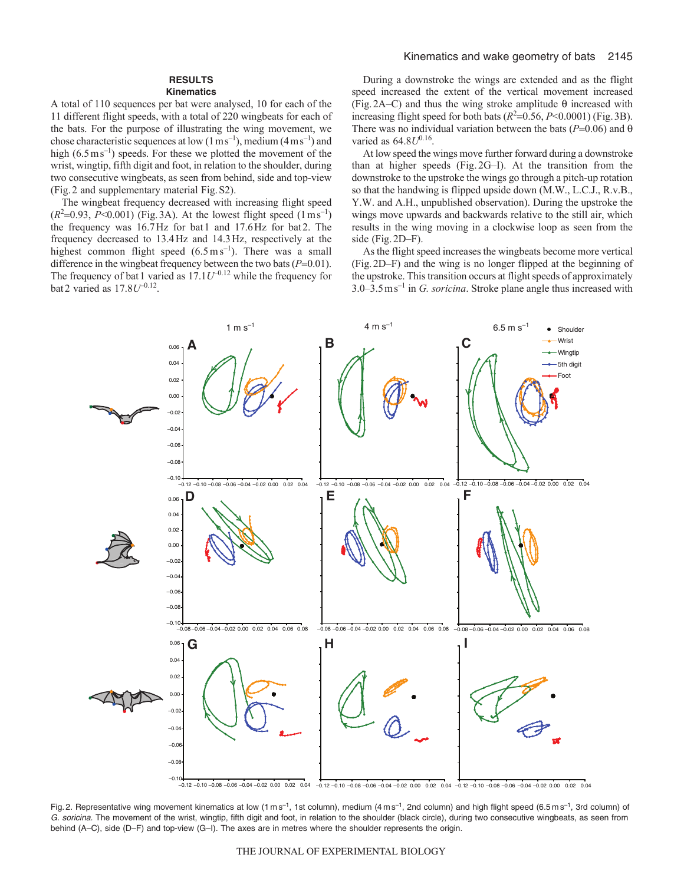# Kinematics and wake geometry of bats 2145

# **RESULTS**

## **Kinematics**

A total of 110 sequences per bat were analysed, 10 for each of the 11 different flight speeds, with a total of 220 wingbeats for each of the bats. For the purpose of illustrating the wing movement, we chose characteristic sequences at low  $(1 \text{ m s}^{-1})$ , medium  $(4 \text{ m s}^{-1})$  and high  $(6.5 \text{ m s}^{-1})$  speeds. For these we plotted the movement of the wrist, wingtip, fifth digit and foot, in relation to the shoulder, during two consecutive wingbeats, as seen from behind, side and top-view (Fig.2 and supplementary material Fig.S2).

The wingbeat frequency decreased with increasing flight speed  $(R^2=0.93, P<0.001)$  (Fig. 3A). At the lowest flight speed  $(1 \text{ m s}^{-1})$ the frequency was 16.7Hz for bat1 and 17.6Hz for bat2. The frequency decreased to 13.4Hz and 14.3Hz, respectively at the highest common flight speed  $(6.5 \text{ m s}^{-1})$ . There was a small difference in the wingbeat frequency between the two bats  $(P=0.01)$ . The frequency of bat 1 varied as  $17.1U^{-0.12}$  while the frequency for bat2 varied as 17.8*U*–0.12.

During a downstroke the wings are extended and as the flight speed increased the extent of the vertical movement increased (Fig. 2A–C) and thus the wing stroke amplitude  $\theta$  increased with increasing flight speed for both bats  $(R^2=0.56, P<0.0001)$  (Fig. 3B). There was no individual variation between the bats ( $P=0.06$ ) and  $\theta$ varied as  $64.8U^{0.16}$ .

At low speed the wings move further forward during a downstroke than at higher speeds (Fig. 2G–I). At the transition from the downstroke to the upstroke the wings go through a pitch-up rotation so that the handwing is flipped upside down (M.W., L.C.J., R.v.B., Y.W. and A.H., unpublished observation). During the upstroke the wings move upwards and backwards relative to the still air, which results in the wing moving in a clockwise loop as seen from the side (Fig.2D–F).

As the flight speed increases the wingbeats become more vertical (Fig.2D–F) and the wing is no longer flipped at the beginning of the upstroke. This transition occurs at flight speeds of approximately 3.0–3.5ms–1 in *G. soricina*. Stroke plane angle thus increased with



Fig. 2. Representative wing movement kinematics at low (1 m s<sup>-1</sup>, 1st column), medium (4 m s<sup>-1</sup>, 2nd column) and high flight speed (6.5 m s<sup>-1</sup>, 3rd column) of G. soricina. The movement of the wrist, wingtip, fifth digit and foot, in relation to the shoulder (black circle), during two consecutive wingbeats, as seen from behind (A–C), side (D–F) and top-view (G–I). The axes are in metres where the shoulder represents the origin.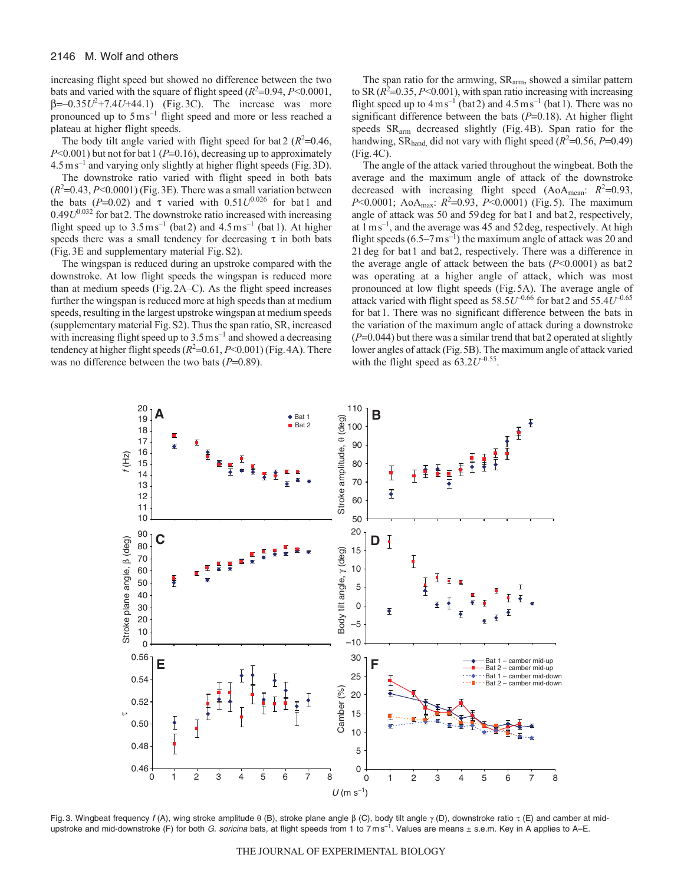## 2146 M. Wolf and others

increasing flight speed but showed no difference between the two bats and varied with the square of flight speed  $(R^2=0.94, P<0.0001,$  $\beta = -0.35U^2 + 7.4U + 44.1$ ) (Fig. 3C). The increase was more pronounced up to  $5 \text{ m s}^{-1}$  flight speed and more or less reached a plateau at higher flight speeds.

The body tilt angle varied with flight speed for bat 2  $(R^2=0.46)$ ,  $P<0.001$ ) but not for bat 1 ( $P=0.16$ ), decreasing up to approximately  $4.5 \text{ m s}^{-1}$  and varying only slightly at higher flight speeds (Fig. 3D).

The downstroke ratio varied with flight speed in both bats  $(R<sup>2</sup>=0.43, P<0.0001)$  (Fig. 3E). There was a small variation between the bats ( $P=0.02$ ) and  $\tau$  varied with  $0.51U^{0.026}$  for bat 1 and  $0.49U^{0.032}$  for bat 2. The downstroke ratio increased with increasing flight speed up to  $3.5 \text{ m s}^{-1}$  (bat2) and  $4.5 \text{ m s}^{-1}$  (bat1). At higher speeds there was a small tendency for decreasing  $\tau$  in both bats (Fig.3E and supplementary material Fig.S2).

The wingspan is reduced during an upstroke compared with the downstroke. At low flight speeds the wingspan is reduced more than at medium speeds (Fig.2A–C). As the flight speed increases further the wingspan is reduced more at high speeds than at medium speeds, resulting in the largest upstroke wingspan at medium speeds (supplementary material Fig.S2). Thus the span ratio, SR, increased with increasing flight speed up to  $3.5 \text{ m s}^{-1}$  and showed a decreasing tendency at higher flight speeds  $(R^2=0.61, P<0.001)$  (Fig. 4A). There was no difference between the two bats  $(P=0.89)$ .

The span ratio for the armwing, SR<sub>arm</sub>, showed a similar pattern to SR  $(R^2=0.35, P<0.001)$ , with span ratio increasing with increasing flight speed up to  $4 \text{ m s}^{-1}$  (bat 2) and  $4.5 \text{ m s}^{-1}$  (bat 1). There was no significant difference between the bats  $(P=0.18)$ . At higher flight speeds SRarm decreased slightly (Fig. 4B). Span ratio for the handwing, SR<sub>hand,</sub> did not vary with flight speed  $(R^2=0.56, P=0.49)$ (Fig.4C).

The angle of the attack varied throughout the wingbeat. Both the average and the maximum angle of attack of the downstroke decreased with increasing flight speed  $(AoA_{mean}: R^2=0.93)$ , *P*<0.0001; AoA<sub>max</sub>:  $R^2$ =0.93, *P*<0.0001) (Fig.5). The maximum angle of attack was 50 and 59deg for bat1 and bat2, respectively, at  $1 \text{ m s}^{-1}$ , and the average was 45 and 52 deg, respectively. At high flight speeds  $(6.5-7 \text{ m s}^{-1})$  the maximum angle of attack was 20 and 21deg for bat1 and bat2, respectively. There was a difference in the average angle of attack between the bats  $(P<0.0001)$  as bat2 was operating at a higher angle of attack, which was most pronounced at low flight speeds (Fig.5A). The average angle of attack varied with flight speed as 58.5*U*–0.66 for bat2 and 55.4*U*–0.65 for bat1. There was no significant difference between the bats in the variation of the maximum angle of attack during a downstroke  $(P=0.044)$  but there was a similar trend that bat 2 operated at slightly lower angles of attack (Fig.5B). The maximum angle of attack varied with the flight speed as  $63.2U^{-0.55}$ .



Fig. 3. Wingbeat frequency f (A), wing stroke amplitude  $\theta$  (B), stroke plane angle  $\beta$  (C), body tilt angle  $\gamma$  (D), downstroke ratio  $\tau$  (E) and camber at midupstroke and mid-downstroke (F) for both G. soricina bats, at flight speeds from 1 to 7 m s<sup>-1</sup>. Values are means  $\pm$  s.e.m. Key in A applies to A–E.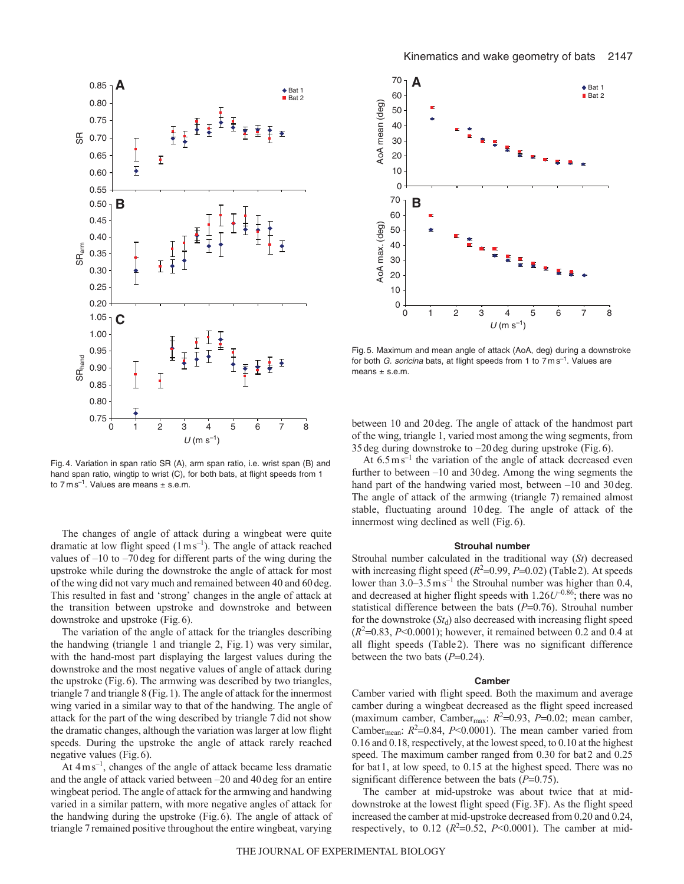



Fig. 4. Variation in span ratio SR (A), arm span ratio, i.e. wrist span (B) and hand span ratio, wingtip to wrist (C), for both bats, at flight speeds from 1 to  $7 \text{ m s}^{-1}$ . Values are means  $\pm$  s.e.m.

The changes of angle of attack during a wingbeat were quite dramatic at low flight speed  $(1 \text{ m s}^{-1})$ . The angle of attack reached values of  $-10$  to  $-70$  deg for different parts of the wing during the upstroke while during the downstroke the angle of attack for most of the wing did not vary much and remained between 40 and 60deg. This resulted in fast and 'strong' changes in the angle of attack at the transition between upstroke and downstroke and between downstroke and upstroke (Fig.6).

The variation of the angle of attack for the triangles describing the handwing (triangle 1 and triangle 2, Fig.1) was very similar, with the hand-most part displaying the largest values during the downstroke and the most negative values of angle of attack during the upstroke (Fig.6). The armwing was described by two triangles, triangle 7 and triangle 8 (Fig.1). The angle of attack for the innermost wing varied in a similar way to that of the handwing. The angle of attack for the part of the wing described by triangle 7 did not show the dramatic changes, although the variation was larger at low flight speeds. During the upstroke the angle of attack rarely reached negative values (Fig.6).

At  $4 \text{ m s}^{-1}$ , changes of the angle of attack became less dramatic and the angle of attack varied between –20 and 40deg for an entire wingbeat period. The angle of attack for the armwing and handwing varied in a similar pattern, with more negative angles of attack for the handwing during the upstroke (Fig.6). The angle of attack of triangle 7 remained positive throughout the entire wingbeat, varying



Fig. 5. Maximum and mean angle of attack (AoA, deg) during a downstroke for both G. soricina bats, at flight speeds from 1 to  $7 \text{ m s}^{-1}$ . Values are means  $\pm$  s.e.m.

between 10 and 20deg. The angle of attack of the handmost part of the wing, triangle 1, varied most among the wing segments, from 35deg during downstroke to –20deg during upstroke (Fig.6).

At  $6.5 \text{ m s}^{-1}$  the variation of the angle of attack decreased even further to between –10 and 30deg. Among the wing segments the hand part of the handwing varied most, between  $-10$  and 30 deg. The angle of attack of the armwing (triangle 7) remained almost stable, fluctuating around 10 deg. The angle of attack of the innermost wing declined as well (Fig.6).

#### **Strouhal number**

Strouhal number calculated in the traditional way (*St*) decreased with increasing flight speed  $(R^2=0.99, P=0.02)$  (Table 2). At speeds lower than  $3.0-3.5 \text{ m s}^{-1}$  the Strouhal number was higher than 0.4, and decreased at higher flight speeds with 1.26*U*–0.86; there was no statistical difference between the bats  $(P=0.76)$ . Strouhal number for the downstroke (*St*<sub>d</sub>) also decreased with increasing flight speed  $(R^2=0.83, P<0.0001)$ ; however, it remained between 0.2 and 0.4 at all flight speeds (Table2). There was no significant difference between the two bats  $(P=0.24)$ .

#### **Camber**

Camber varied with flight speed. Both the maximum and average camber during a wingbeat decreased as the flight speed increased (maximum camber, Camber<sub>max</sub>:  $R^2$ =0.93,  $P$ =0.02; mean camber, Camber<sub>mean</sub>:  $R^2$ =0.84,  $P$ <0.0001). The mean camber varied from 0.16 and 0.18, respectively, at the lowest speed, to 0.10 at the highest speed. The maximum camber ranged from 0.30 for bat2 and 0.25 for bat1, at low speed, to 0.15 at the highest speed. There was no significant difference between the bats  $(P=0.75)$ .

The camber at mid-upstroke was about twice that at middownstroke at the lowest flight speed (Fig.3F). As the flight speed increased the camber at mid-upstroke decreased from 0.20 and 0.24, respectively, to 0.12  $(R^2=0.52, P<0.0001)$ . The camber at mid-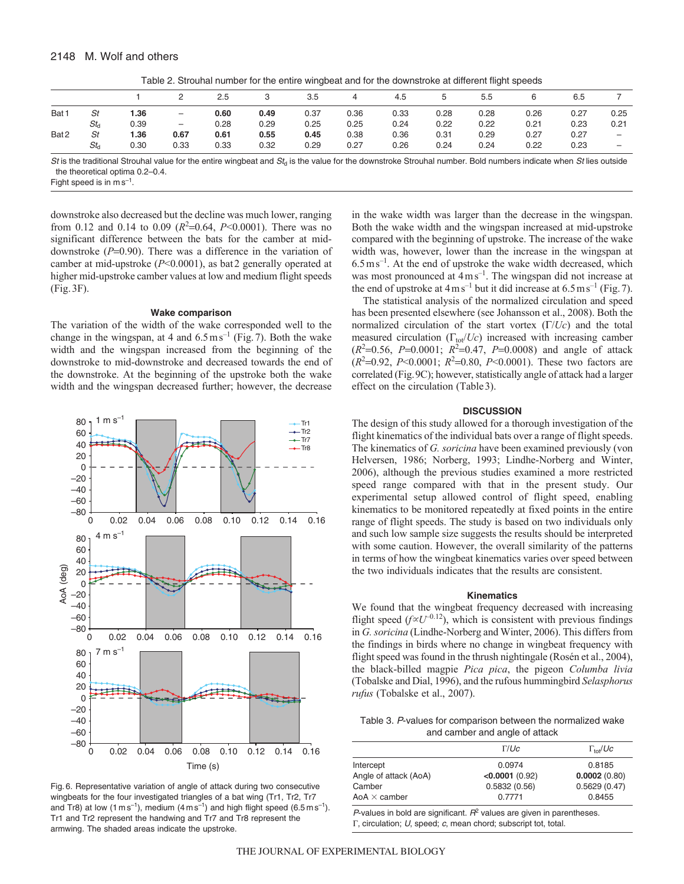Table 2. Strouhal number for the entire wingbeat and for the downstroke at different flight speeds

|                  |              |      |                          | 2.5  |      | 3.5  | 4    | 4.5  | <sub>5</sub> | 5.5  | 6    | 6.5  |                          |
|------------------|--------------|------|--------------------------|------|------|------|------|------|--------------|------|------|------|--------------------------|
| Bat 1            | St           | 1.36 | $\overline{\phantom{m}}$ | 0.60 | 0.49 | 0.37 | 0.36 | 0.33 | 0.28         | 0.28 | 0.26 | 0.27 | 0.25                     |
|                  | $St_{\rm d}$ | 0.39 | $\qquad \qquad -$        | 0.28 | 0.29 | 0.25 | 0.25 | 0.24 | 0.22         | 0.22 | 0.21 | 0.23 | 0.21                     |
| Bat <sub>2</sub> | St           | 1.36 | 0.67                     | 0.61 | 0.55 | 0.45 | 0.38 | 0.36 | 0.31         | 0.29 | 0.27 | 0.27 | $\qquad \qquad$          |
|                  | $St_{\rm d}$ | 0.30 | 0.33                     | 0.33 | 0.32 | 0.29 | 0.27 | 0.26 | 0.24         | 0.24 | 0.22 | 0.23 | $\overline{\phantom{m}}$ |

St is the traditional Strouhal value for the entire wingbeat and  $St_d$  is the value for the downstroke Strouhal number. Bold numbers indicate when St lies outside the theoretical optima 0.2–0.4.

Fight speed is in  $ms^{-1}$ .

downstroke also decreased but the decline was much lower, ranging from 0.12 and 0.14 to 0.09 ( $R^2$ =0.64,  $P$  <0.0001). There was no significant difference between the bats for the camber at middownstroke  $(P=0.90)$ . There was a difference in the variation of camber at mid-upstroke (*P*<0.0001), as bat2 generally operated at higher mid-upstroke camber values at low and medium flight speeds (Fig.3F).

## **Wake comparison**

The variation of the width of the wake corresponded well to the change in the wingspan, at 4 and  $6.5 \text{ m s}^{-1}$  (Fig. 7). Both the wake width and the wingspan increased from the beginning of the downstroke to mid-downstroke and decreased towards the end of the downstroke. At the beginning of the upstroke both the wake width and the wingspan decreased further; however, the decrease



Fig. 6. Representative variation of angle of attack during two consecutive wingbeats for the four investigated triangles of a bat wing (Tr1, Tr2, Tr7 and Tr8) at low (1 m s<sup>-1</sup>), medium (4 m s<sup>-1</sup>) and high flight speed (6.5 m s<sup>-1</sup>). Tr1 and Tr2 represent the handwing and Tr7 and Tr8 represent the armwing. The shaded areas indicate the upstroke.

in the wake width was larger than the decrease in the wingspan. Both the wake width and the wingspan increased at mid-upstroke compared with the beginning of upstroke. The increase of the wake width was, however, lower than the increase in the wingspan at  $6.5 \text{ m s}^{-1}$ . At the end of upstroke the wake width decreased, which was most pronounced at  $4 \text{ m s}^{-1}$ . The wingspan did not increase at the end of upstroke at  $4 \text{ m s}^{-1}$  but it did increase at 6.5 m s<sup>-1</sup> (Fig. 7).

The statistical analysis of the normalized circulation and speed has been presented elsewhere (see Johansson et al., 2008). Both the normalized circulation of the start vortex  $(\Gamma/Uc)$  and the total measured circulation  $(\Gamma_{\text{tot}}/Uc)$  increased with increasing camber  $(R^2=0.56, P=0.0001; R^2=0.47, P=0.0008)$  and angle of attack  $(R^2=0.92, P<0.0001; R^2=0.80, P<0.0001)$ . These two factors are correlated (Fig.9C); however, statistically angle of attack had a larger effect on the circulation (Table3).

## **DISCUSSION**

The design of this study allowed for a thorough investigation of the flight kinematics of the individual bats over a range of flight speeds. The kinematics of *G. soricina* have been examined previously (von Helversen, 1986; Norberg, 1993; Lindhe-Norberg and Winter, 2006), although the previous studies examined a more restricted speed range compared with that in the present study. Our experimental setup allowed control of flight speed, enabling kinematics to be monitored repeatedly at fixed points in the entire range of flight speeds. The study is based on two individuals only and such low sample size suggests the results should be interpreted with some caution. However, the overall similarity of the patterns in terms of how the wingbeat kinematics varies over speed between the two individuals indicates that the results are consistent.

## **Kinematics**

We found that the wingbeat frequency decreased with increasing flight speed  $(f \propto U^{-0.12})$ , which is consistent with previous findings in *G. soricina* (Lindhe-Norberg and Winter, 2006). This differs from the findings in birds where no change in wingbeat frequency with flight speed was found in the thrush nightingale (Rosén et al., 2004), the black-billed magpie *Pica pica*, the pigeon *Columba livia* (Tobalske and Dial, 1996), and the rufous hummingbird *Selasphorus rufus* (Tobalske et al., 2007).

Table 3. P-values for comparison between the normalized wake and camber and angle of attack

|                       | $\Gamma / Uc$ | $\Gamma_{\rm tot}/U_C$ |
|-----------------------|---------------|------------------------|
| Intercept             | 0.0974        | 0.8185                 |
| Angle of attack (AoA) | <0.0001(0.92) | 0.0002(0.80)           |
| Camber                | 0.5832(0.56)  | 0.5629(0.47)           |
| AoA $\times$ camber   | 0.7771        | 0.8455                 |
|                       |               |                        |

P-values in bold are significant.  $R^2$  values are given in parentheses.  $\Gamma$ , circulation; U, speed; c, mean chord; subscript tot, total.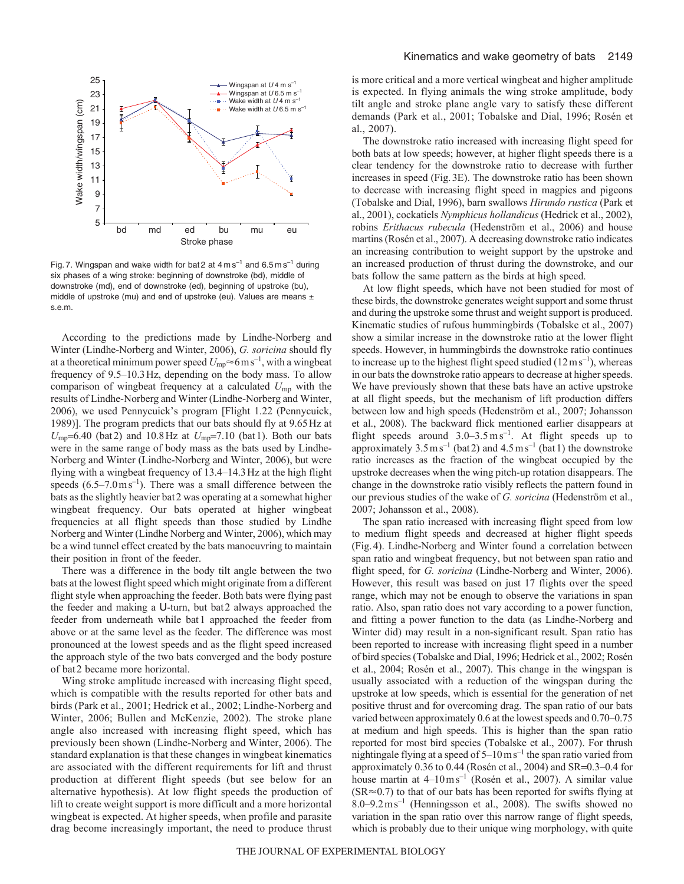

Fig. 7. Wingspan and wake width for bat 2 at  $4 \text{ m s}^{-1}$  and  $6.5 \text{ m s}^{-1}$  during six phases of a wing stroke: beginning of downstroke (bd), middle of downstroke (md), end of downstroke (ed), beginning of upstroke (bu), middle of upstroke (mu) and end of upstroke (eu). Values are means  $\pm$ s.e.m.

According to the predictions made by Lindhe-Norberg and Winter (Lindhe-Norberg and Winter, 2006), *G. soricina* should fly at a theoretical minimum power speed  $U_{mp} \approx 6 \,\mathrm{m\,s^{-1}}$ , with a wingbeat frequency of 9.5–10.3Hz, depending on the body mass. To allow comparison of wingbeat frequency at a calculated *U*mp with the results of Lindhe-Norberg and Winter (Lindhe-Norberg and Winter, 2006), we used Pennycuick's program [Flight 1.22 (Pennycuick, 1989)]. The program predicts that our bats should fly at 9.65Hz at  $U_{\text{mp}}$ =6.40 (bat2) and 10.8Hz at  $U_{\text{mp}}$ =7.10 (bat1). Both our bats were in the same range of body mass as the bats used by Lindhe-Norberg and Winter (Lindhe-Norberg and Winter, 2006), but were flying with a wingbeat frequency of 13.4–14.3Hz at the high flight speeds  $(6.5-7.0 \text{ m s}^{-1})$ . There was a small difference between the bats as the slightly heavier bat2 was operating at a somewhat higher wingbeat frequency. Our bats operated at higher wingbeat frequencies at all flight speeds than those studied by Lindhe Norberg and Winter (Lindhe Norberg and Winter, 2006), which may be a wind tunnel effect created by the bats manoeuvring to maintain their position in front of the feeder.

There was a difference in the body tilt angle between the two bats at the lowest flight speed which might originate from a different flight style when approaching the feeder. Both bats were flying past the feeder and making a U-turn, but bat2 always approached the feeder from underneath while bat1 approached the feeder from above or at the same level as the feeder. The difference was most pronounced at the lowest speeds and as the flight speed increased the approach style of the two bats converged and the body posture of bat2 became more horizontal.

Wing stroke amplitude increased with increasing flight speed, which is compatible with the results reported for other bats and birds (Park et al., 2001; Hedrick et al., 2002; Lindhe-Norberg and Winter, 2006; Bullen and McKenzie, 2002). The stroke plane angle also increased with increasing flight speed, which has previously been shown (Lindhe-Norberg and Winter, 2006). The standard explanation is that these changes in wingbeat kinematics are associated with the different requirements for lift and thrust production at different flight speeds (but see below for an alternative hypothesis). At low flight speeds the production of lift to create weight support is more difficult and a more horizontal wingbeat is expected. At higher speeds, when profile and parasite drag become increasingly important, the need to produce thrust

is more critical and a more vertical wingbeat and higher amplitude is expected. In flying animals the wing stroke amplitude, body tilt angle and stroke plane angle vary to satisfy these different demands (Park et al., 2001; Tobalske and Dial, 1996; Rosén et al., 2007).

The downstroke ratio increased with increasing flight speed for both bats at low speeds; however, at higher flight speeds there is a clear tendency for the downstroke ratio to decrease with further increases in speed (Fig.3E). The downstroke ratio has been shown to decrease with increasing flight speed in magpies and pigeons (Tobalske and Dial, 1996), barn swallows *Hirundo rustica* (Park et al., 2001), cockatiels *Nymphicus hollandicus* (Hedrick et al., 2002), robins *Erithacus rubecula* (Hedenström et al., 2006) and house martins (Rosén et al., 2007). A decreasing downstroke ratio indicates an increasing contribution to weight support by the upstroke and an increased production of thrust during the downstroke, and our bats follow the same pattern as the birds at high speed.

At low flight speeds, which have not been studied for most of these birds, the downstroke generates weight support and some thrust and during the upstroke some thrust and weight support is produced. Kinematic studies of rufous hummingbirds (Tobalske et al., 2007) show a similar increase in the downstroke ratio at the lower flight speeds. However, in hummingbirds the downstroke ratio continues to increase up to the highest flight speed studied  $(12 \text{ m s}^{-1})$ , whereas in our bats the downstroke ratio appears to decrease at higher speeds. We have previously shown that these bats have an active upstroke at all flight speeds, but the mechanism of lift production differs between low and high speeds (Hedenström et al., 2007; Johansson et al., 2008). The backward flick mentioned earlier disappears at flight speeds around 3.0–3.5ms–1. At flight speeds up to approximately  $3.5 \text{ m s}^{-1}$  (bat 2) and  $4.5 \text{ m s}^{-1}$  (bat 1) the downstroke ratio increases as the fraction of the wingbeat occupied by the upstroke decreases when the wing pitch-up rotation disappears. The change in the downstroke ratio visibly reflects the pattern found in our previous studies of the wake of *G. soricina* (Hedenström et al., 2007; Johansson et al., 2008).

The span ratio increased with increasing flight speed from low to medium flight speeds and decreased at higher flight speeds (Fig.4). Lindhe-Norberg and Winter found a correlation between span ratio and wingbeat frequency, but not between span ratio and flight speed, for *G. soricina* (Lindhe-Norberg and Winter, 2006). However, this result was based on just 17 flights over the speed range, which may not be enough to observe the variations in span ratio. Also, span ratio does not vary according to a power function, and fitting a power function to the data (as Lindhe-Norberg and Winter did) may result in a non-significant result. Span ratio has been reported to increase with increasing flight speed in a number of bird species (Tobalske and Dial, 1996; Hedrick et al., 2002; Rosén et al., 2004; Rosén et al., 2007). This change in the wingspan is usually associated with a reduction of the wingspan during the upstroke at low speeds, which is essential for the generation of net positive thrust and for overcoming drag. The span ratio of our bats varied between approximately 0.6 at the lowest speeds and 0.70–0.75 at medium and high speeds. This is higher than the span ratio reported for most bird species (Tobalske et al., 2007). For thrush nightingale flying at a speed of  $5-10 \text{ m s}^{-1}$  the span ratio varied from approximately  $0.36$  to  $0.44$  (Rosén et al., 2004) and SR= $0.3-0.4$  for house martin at  $4{\text -}10\,\text{m}\,\text{s}^{-1}$  (Rosén et al., 2007). A similar value  $(SR \approx 0.7)$  to that of our bats has been reported for swifts flying at  $8.0 - 9.2 \text{ m s}^{-1}$  (Henningsson et al., 2008). The swifts showed no variation in the span ratio over this narrow range of flight speeds, which is probably due to their unique wing morphology, with quite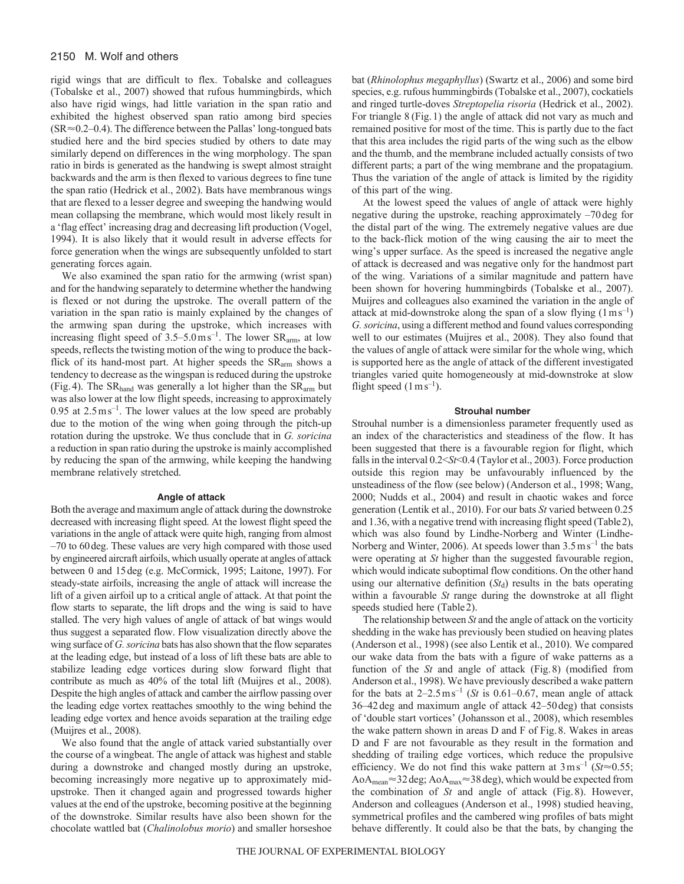## 2150 M. Wolf and others

rigid wings that are difficult to flex. Tobalske and colleagues (Tobalske et al., 2007) showed that rufous hummingbirds, which also have rigid wings, had little variation in the span ratio and exhibited the highest observed span ratio among bird species  $(SR \approx 0.2 - 0.4)$ . The difference between the Pallas' long-tongued bats studied here and the bird species studied by others to date may similarly depend on differences in the wing morphology. The span ratio in birds is generated as the handwing is swept almost straight backwards and the arm is then flexed to various degrees to fine tune the span ratio (Hedrick et al., 2002). Bats have membranous wings that are flexed to a lesser degree and sweeping the handwing would mean collapsing the membrane, which would most likely result in a 'flag effect' increasing drag and decreasing lift production (Vogel, 1994). It is also likely that it would result in adverse effects for force generation when the wings are subsequently unfolded to start generating forces again.

We also examined the span ratio for the armwing (wrist span) and for the handwing separately to determine whether the handwing is flexed or not during the upstroke. The overall pattern of the variation in the span ratio is mainly explained by the changes of the armwing span during the upstroke, which increases with increasing flight speed of  $3.5-5.0 \text{ m s}^{-1}$ . The lower SR<sub>arm</sub>, at low speeds, reflects the twisting motion of the wing to produce the backflick of its hand-most part. At higher speeds the SR<sub>arm</sub> shows a tendency to decrease as the wingspan is reduced during the upstroke (Fig. 4). The  $SR<sub>hand</sub>$  was generally a lot higher than the  $SR<sub>arm</sub>$  but was also lower at the low flight speeds, increasing to approximately  $0.95$  at  $2.5 \text{ m s}^{-1}$ . The lower values at the low speed are probably due to the motion of the wing when going through the pitch-up rotation during the upstroke. We thus conclude that in *G. soricina* a reduction in span ratio during the upstroke is mainly accomplished by reducing the span of the armwing, while keeping the handwing membrane relatively stretched.

#### **Angle of attack**

Both the average and maximum angle of attack during the downstroke decreased with increasing flight speed. At the lowest flight speed the variations in the angle of attack were quite high, ranging from almost –70 to 60deg. These values are very high compared with those used by engineered aircraft airfoils, which usually operate at angles of attack between 0 and 15deg (e.g. McCormick, 1995; Laitone, 1997). For steady-state airfoils, increasing the angle of attack will increase the lift of a given airfoil up to a critical angle of attack. At that point the flow starts to separate, the lift drops and the wing is said to have stalled. The very high values of angle of attack of bat wings would thus suggest a separated flow. Flow visualization directly above the wing surface of *G. soricina* bats has also shown that the flow separates at the leading edge, but instead of a loss of lift these bats are able to stabilize leading edge vortices during slow forward flight that contribute as much as 40% of the total lift (Muijres et al., 2008). Despite the high angles of attack and camber the airflow passing over the leading edge vortex reattaches smoothly to the wing behind the leading edge vortex and hence avoids separation at the trailing edge (Muijres et al., 2008).

We also found that the angle of attack varied substantially over the course of a wingbeat. The angle of attack was highest and stable during a downstroke and changed mostly during an upstroke, becoming increasingly more negative up to approximately midupstroke. Then it changed again and progressed towards higher values at the end of the upstroke, becoming positive at the beginning of the downstroke. Similar results have also been shown for the chocolate wattled bat (*Chalinolobus morio*) and smaller horseshoe bat (*Rhinolophus megaphyllus*) (Swartz et al., 2006) and some bird species, e.g. rufous hummingbirds (Tobalske et al., 2007), cockatiels and ringed turtle-doves *Streptopelia risoria* (Hedrick et al., 2002). For triangle 8 (Fig.1) the angle of attack did not vary as much and remained positive for most of the time. This is partly due to the fact that this area includes the rigid parts of the wing such as the elbow and the thumb, and the membrane included actually consists of two different parts; a part of the wing membrane and the propatagium. Thus the variation of the angle of attack is limited by the rigidity of this part of the wing.

At the lowest speed the values of angle of attack were highly negative during the upstroke, reaching approximately –70deg for the distal part of the wing. The extremely negative values are due to the back-flick motion of the wing causing the air to meet the wing's upper surface. As the speed is increased the negative angle of attack is decreased and was negative only for the handmost part of the wing. Variations of a similar magnitude and pattern have been shown for hovering hummingbirds (Tobalske et al., 2007). Muijres and colleagues also examined the variation in the angle of attack at mid-downstroke along the span of a slow flying  $(1 \text{ m s}^{-1})$ *G. soricina*, using a different method and found values corresponding well to our estimates (Muijres et al., 2008). They also found that the values of angle of attack were similar for the whole wing, which is supported here as the angle of attack of the different investigated triangles varied quite homogeneously at mid-downstroke at slow flight speed  $(1 \text{ m s}^{-1})$ .

#### **Strouhal number**

Strouhal number is a dimensionless parameter frequently used as an index of the characteristics and steadiness of the flow. It has been suggested that there is a favourable region for flight, which falls in the interval 0.2<*St*<0.4 (Taylor et al., 2003). Force production outside this region may be unfavourably influenced by the unsteadiness of the flow (see below) (Anderson et al., 1998; Wang, 2000; Nudds et al., 2004) and result in chaotic wakes and force generation (Lentik et al., 2010). For our bats *St* varied between 0.25 and 1.36, with a negative trend with increasing flight speed (Table2), which was also found by Lindhe-Norberg and Winter (Lindhe-Norberg and Winter, 2006). At speeds lower than  $3.5 \text{ m s}^{-1}$  the bats were operating at *St* higher than the suggested favourable region, which would indicate suboptimal flow conditions. On the other hand using our alternative definition  $(St_d)$  results in the bats operating within a favourable *St* range during the downstroke at all flight speeds studied here (Table2).

The relationship between *St* and the angle of attack on the vorticity shedding in the wake has previously been studied on heaving plates (Anderson et al., 1998) (see also Lentik et al., 2010). We compared our wake data from the bats with a figure of wake patterns as a function of the *St* and angle of attack (Fig.8) (modified from Anderson et al., 1998). We have previously described a wake pattern for the bats at  $2-2.5 \text{ m s}^{-1}$  (*St* is 0.61–0.67, mean angle of attack 36–42deg and maximum angle of attack 42–50deg) that consists of 'double start vortices' (Johansson et al., 2008), which resembles the wake pattern shown in areas D and F of Fig.8. Wakes in areas D and F are not favourable as they result in the formation and shedding of trailing edge vortices, which reduce the propulsive efficiency. We do not find this wake pattern at  $3 \text{ ms}^{-1}$  (*St* $\approx$ 0.55;  $AoA<sub>mean</sub> \approx 32$  deg;  $AoA<sub>max</sub> \approx 38$  deg), which would be expected from the combination of *St* and angle of attack (Fig. 8). However, Anderson and colleagues (Anderson et al., 1998) studied heaving, symmetrical profiles and the cambered wing profiles of bats might behave differently. It could also be that the bats, by changing the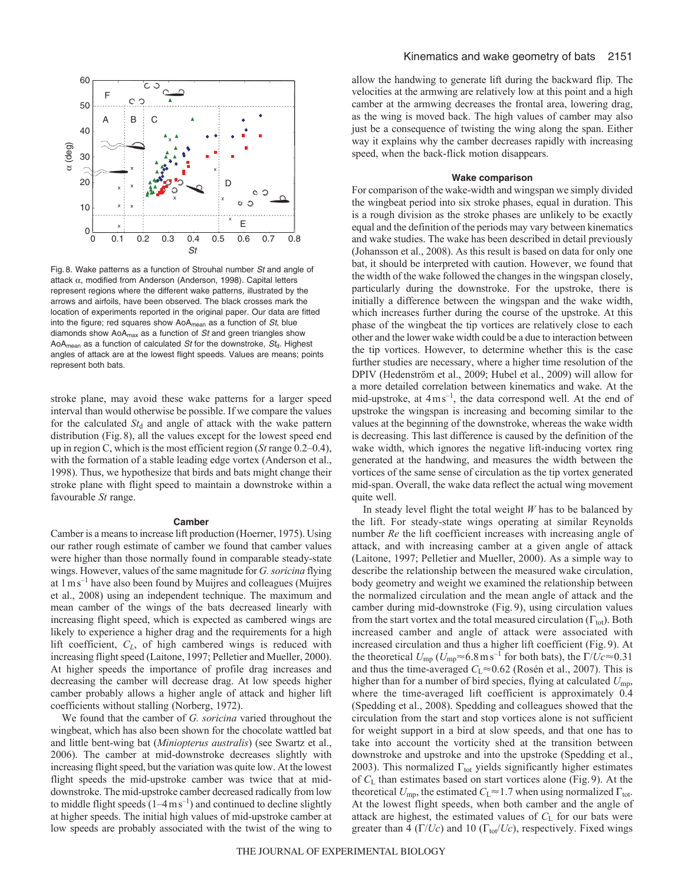

Fig. 8. Wake patterns as a function of Strouhal number St and angle of attack  $\alpha$ , modified from Anderson (Anderson, 1998). Capital letters represent regions where the different wake patterns, illustrated by the arrows and airfoils, have been observed. The black crosses mark the location of experiments reported in the original paper. Our data are fitted into the figure; red squares show  $AoA_{mean}$  as a function of  $St$ , blue diamonds show  $AoA<sub>max</sub>$  as a function of  $St$  and green triangles show Ao $A_{mean}$  as a function of calculated St for the downstroke,  $St_d$ . Highest angles of attack are at the lowest flight speeds. Values are means; points represent both bats.

stroke plane, may avoid these wake patterns for a larger speed interval than would otherwise be possible. If we compare the values for the calculated  $St_d$  and angle of attack with the wake pattern distribution (Fig.8), all the values except for the lowest speed end up in region C, which is the most efficient region (*St* range 0.2–0.4), with the formation of a stable leading edge vortex (Anderson et al., 1998). Thus, we hypothesize that birds and bats might change their stroke plane with flight speed to maintain a downstroke within a favourable *St* range.

## **Camber**

Camber is a means to increase lift production (Hoerner, 1975). Using our rather rough estimate of camber we found that camber values were higher than those normally found in comparable steady-state wings. However, values of the same magnitude for *G. soricina* flying at  $1 \text{ m s}^{-1}$  have also been found by Muijres and colleagues (Muijres et al., 2008) using an independent technique. The maximum and mean camber of the wings of the bats decreased linearly with increasing flight speed, which is expected as cambered wings are likely to experience a higher drag and the requirements for a high lift coefficient, *CL*, of high cambered wings is reduced with increasing flight speed (Laitone, 1997; Pelletier and Mueller, 2000). At higher speeds the importance of profile drag increases and decreasing the camber will decrease drag. At low speeds higher camber probably allows a higher angle of attack and higher lift coefficients without stalling (Norberg, 1972).

We found that the camber of *G. soricina* varied throughout the wingbeat, which has also been shown for the chocolate wattled bat and little bent-wing bat (*Miniopterus australis*) (see Swartz et al., 2006). The camber at mid-downstroke decreases slightly with increasing flight speed, but the variation was quite low. At the lowest flight speeds the mid-upstroke camber was twice that at middownstroke. The mid-upstroke camber decreased radically from low to middle flight speeds  $(1-4 \text{ m s}^{-1})$  and continued to decline slightly at higher speeds. The initial high values of mid-upstroke camber at low speeds are probably associated with the twist of the wing to allow the handwing to generate lift during the backward flip. The velocities at the armwing are relatively low at this point and a high camber at the armwing decreases the frontal area, lowering drag, as the wing is moved back. The high values of camber may also just be a consequence of twisting the wing along the span. Either way it explains why the camber decreases rapidly with increasing speed, when the back-flick motion disappears.

## **Wake comparison**

For comparison of the wake-width and wingspan we simply divided the wingbeat period into six stroke phases, equal in duration. This is a rough division as the stroke phases are unlikely to be exactly equal and the definition of the periods may vary between kinematics and wake studies. The wake has been described in detail previously (Johansson et al., 2008). As this result is based on data for only one bat, it should be interpreted with caution. However, we found that the width of the wake followed the changes in the wingspan closely, particularly during the downstroke. For the upstroke, there is initially a difference between the wingspan and the wake width, which increases further during the course of the upstroke. At this phase of the wingbeat the tip vortices are relatively close to each other and the lower wake width could be a due to interaction between the tip vortices. However, to determine whether this is the case further studies are necessary, where a higher time resolution of the DPIV (Hedenström et al., 2009; Hubel et al., 2009) will allow for a more detailed correlation between kinematics and wake. At the mid-upstroke, at 4ms–1, the data correspond well. At the end of upstroke the wingspan is increasing and becoming similar to the values at the beginning of the downstroke, whereas the wake width is decreasing. This last difference is caused by the definition of the wake width, which ignores the negative lift-inducing vortex ring generated at the handwing, and measures the width between the vortices of the same sense of circulation as the tip vortex generated mid-span. Overall, the wake data reflect the actual wing movement quite well.

In steady level flight the total weight *W* has to be balanced by the lift. For steady-state wings operating at similar Reynolds number *Re* the lift coefficient increases with increasing angle of attack, and with increasing camber at a given angle of attack (Laitone, 1997; Pelletier and Mueller, 2000). As a simple way to describe the relationship between the measured wake circulation, body geometry and weight we examined the relationship between the normalized circulation and the mean angle of attack and the camber during mid-downstroke (Fig. 9), using circulation values from the start vortex and the total measured circulation ( $\Gamma_{\text{tot}}$ ). Both increased camber and angle of attack were associated with increased circulation and thus a higher lift coefficient (Fig. 9). At the theoretical  $U_{\text{mp}}$  ( $U_{\text{mp}} \approx 6.8 \text{ m s}^{-1}$  for both bats), the  $\Gamma / U_c \approx 0.31$ and thus the time-averaged  $C_{L} \approx 0.62$  (Rosén et al., 2007). This is higher than for a number of bird species, flying at calculated *U*mp, where the time-averaged lift coefficient is approximately 0.4 (Spedding et al., 2008). Spedding and colleagues showed that the circulation from the start and stop vortices alone is not sufficient for weight support in a bird at slow speeds, and that one has to take into account the vorticity shed at the transition between downstroke and upstroke and into the upstroke (Spedding et al., 2003). This normalized  $\Gamma_{\text{tot}}$  yields significantly higher estimates of *C*<sup>L</sup> than estimates based on start vortices alone (Fig. 9). At the theoretical  $U_{\text{mp}}$ , the estimated  $C_{\text{L}} \approx 1.7$  when using normalized  $\Gamma_{\text{tot}}$ . At the lowest flight speeds, when both camber and the angle of attack are highest, the estimated values of *C*<sup>L</sup> for our bats were greater than 4 ( $\Gamma/Uc$ ) and 10 ( $\Gamma_{\text{tot}}/Uc$ ), respectively. Fixed wings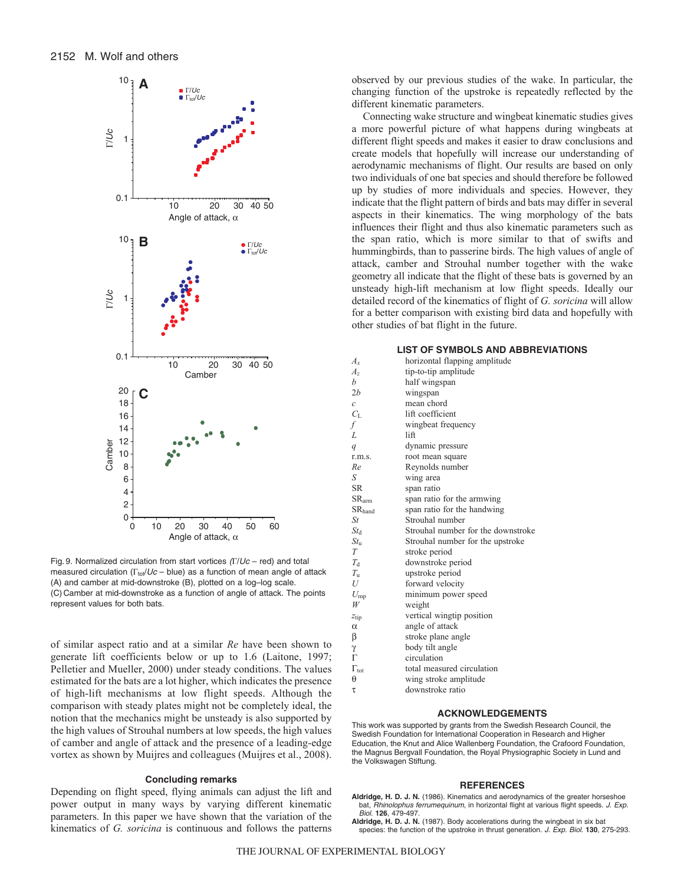

Fig. 9. Normalized circulation from start vortices  $(\Gamma/Uc - red)$  and total measured circulation ( $\Gamma_{\text{tot}}/Uc -$  blue) as a function of mean angle of attack (A) and camber at mid-downstroke (B), plotted on a log–log scale. (C) Camber at mid-downstroke as a function of angle of attack. The points represent values for both bats.

of similar aspect ratio and at a similar *Re* have been shown to generate lift coefficients below or up to 1.6 (Laitone, 1997; Pelletier and Mueller, 2000) under steady conditions. The values estimated for the bats are a lot higher, which indicates the presence of high-lift mechanisms at low flight speeds. Although the comparison with steady plates might not be completely ideal, the notion that the mechanics might be unsteady is also supported by the high values of Strouhal numbers at low speeds, the high values of camber and angle of attack and the presence of a leading-edge vortex as shown by Muijres and colleagues (Muijres et al., 2008).

#### **Concluding remarks**

Depending on flight speed, flying animals can adjust the lift and power output in many ways by varying different kinematic parameters. In this paper we have shown that the variation of the kinematics of *G. soricina* is continuous and follows the patterns observed by our previous studies of the wake. In particular, the changing function of the upstroke is repeatedly reflected by the different kinematic parameters.

Connecting wake structure and wingbeat kinematic studies gives a more powerful picture of what happens during wingbeats at different flight speeds and makes it easier to draw conclusions and create models that hopefully will increase our understanding of aerodynamic mechanisms of flight. Our results are based on only two individuals of one bat species and should therefore be followed up by studies of more individuals and species. However, they indicate that the flight pattern of birds and bats may differ in several aspects in their kinematics. The wing morphology of the bats influences their flight and thus also kinematic parameters such as the span ratio, which is more similar to that of swifts and hummingbirds, than to passerine birds. The high values of angle of attack, camber and Strouhal number together with the wake geometry all indicate that the flight of these bats is governed by an unsteady high-lift mechanism at low flight speeds. Ideally our detailed record of the kinematics of flight of *G. soricina* will allow for a better comparison with existing bird data and hopefully with other studies of bat flight in the future.

#### **LIST OF SYMBOLS AND ABBREVIATIONS**

| $A_{x}$            | horizontal flapping amplitude      |
|--------------------|------------------------------------|
| $A_{\tau}$         | tip-to-tip amplitude               |
| h                  | half wingspan                      |
| 2b                 | wingspan                           |
| $\boldsymbol{c}$   | mean chord                         |
| $C_{\rm L}$        | lift coefficient                   |
| $\int$             | wingbeat frequency                 |
| L                  | lift                               |
| q                  | dynamic pressure                   |
| r.m.s.             | root mean square                   |
| Re                 | Reynolds number                    |
| S                  | wing area                          |
| <b>SR</b>          | span ratio                         |
| SR <sub>arm</sub>  | span ratio for the armwing         |
| SR <sub>hand</sub> | span ratio for the handwing        |
| St                 | Strouhal number                    |
| $St_{d}$           | Strouhal number for the downstroke |
| St <sub>II</sub>   | Strouhal number for the upstroke   |
| T                  | stroke period                      |
| $T_A$              | downstroke period                  |
| $T_{\rm n}$        | upstroke period                    |
| U                  | forward velocity                   |
| $U_{\text{mp}}$    | minimum power speed                |
| W                  | weight                             |
| $z_{\rm tip}$      | vertical wingtip position          |
| $\alpha$           | angle of attack                    |
| β                  | stroke plane angle                 |
| γ                  | body tilt angle                    |
| $\Gamma$           | circulation                        |
| $\Gamma_{\rm tot}$ | total measured circulation         |
| θ                  | wing stroke amplitude              |
| τ                  | downstroke ratio                   |

### **ACKNOWLEDGEMENTS**

This work was supported by grants from the Swedish Research Council, the Swedish Foundation for International Cooperation in Research and Higher Education, the Knut and Alice Wallenberg Foundation, the Crafoord Foundation, the Magnus Bergvall Foundation, the Royal Physiographic Society in Lund and the Volkswagen Stiftung.

#### **REFERENCES**

- **Aldridge, H. D. J. N.** (1986). Kinematics and aerodynamics of the greater horseshoe bat, Rhinolophus ferrumequinum, in horizontal flight at various flight speeds. J. Exp. Biol. **126**, 479-497.
- **Aldridge, H. D. J. N.** (1987). Body accelerations during the wingbeat in six bat species: the function of the upstroke in thrust generation. J. Exp. Biol. **130**, 275-293.